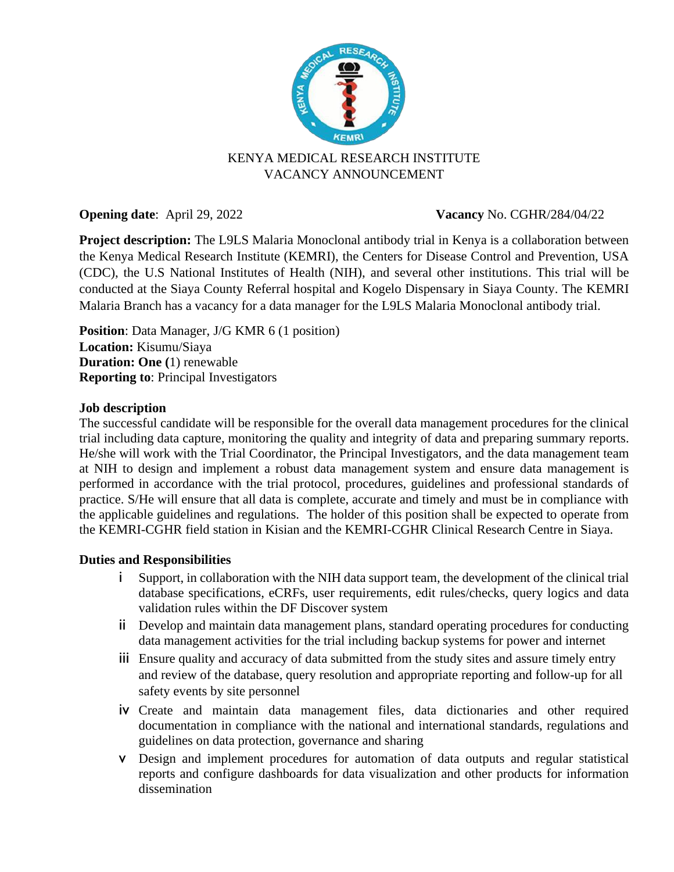

# KENYA MEDICAL RESEARCH INSTITUTE VACANCY ANNOUNCEMENT

## **Opening date**: April 29, 2022 **Vacancy No. CGHR/284/04/22**

**Project description:** The L9LS Malaria Monoclonal antibody trial in Kenya is a collaboration between the Kenya Medical Research Institute (KEMRI), the Centers for Disease Control and Prevention, USA (CDC), the U.S National Institutes of Health (NIH), and several other institutions. This trial will be conducted at the Siaya County Referral hospital and Kogelo Dispensary in Siaya County. The KEMRI Malaria Branch has a vacancy for a data manager for the L9LS Malaria Monoclonal antibody trial.

**Position**: Data Manager, J/G KMR 6 (1 position) **Location:** Kisumu/Siaya **Duration: One (**1) renewable **Reporting to**: Principal Investigators

## **Job description**

The successful candidate will be responsible for the overall data management procedures for the clinical trial including data capture, monitoring the quality and integrity of data and preparing summary reports. He/she will work with the Trial Coordinator, the Principal Investigators, and the data management team at NIH to design and implement a robust data management system and ensure data management is performed in accordance with the trial protocol, procedures, guidelines and professional standards of practice. S/He will ensure that all data is complete, accurate and timely and must be in compliance with the applicable guidelines and regulations. The holder of this position shall be expected to operate from the KEMRI-CGHR field station in Kisian and the KEMRI-CGHR Clinical Research Centre in Siaya.

#### **Duties and Responsibilities**

- i Support, in collaboration with the NIH data support team, the development of the clinical trial database specifications, eCRFs, user requirements, edit rules/checks, query logics and data validation rules within the DF Discover system
- ii Develop and maintain data management plans, standard operating procedures for conducting data management activities for the trial including backup systems for power and internet
- iii Ensure quality and accuracy of data submitted from the study sites and assure timely entry and review of the database, query resolution and appropriate reporting and follow-up for all safety events by site personnel
- iv Create and maintain data management files, data dictionaries and other required documentation in compliance with the national and international standards, regulations and guidelines on data protection, governance and sharing
- v Design and implement procedures for automation of data outputs and regular statistical reports and configure dashboards for data visualization and other products for information dissemination